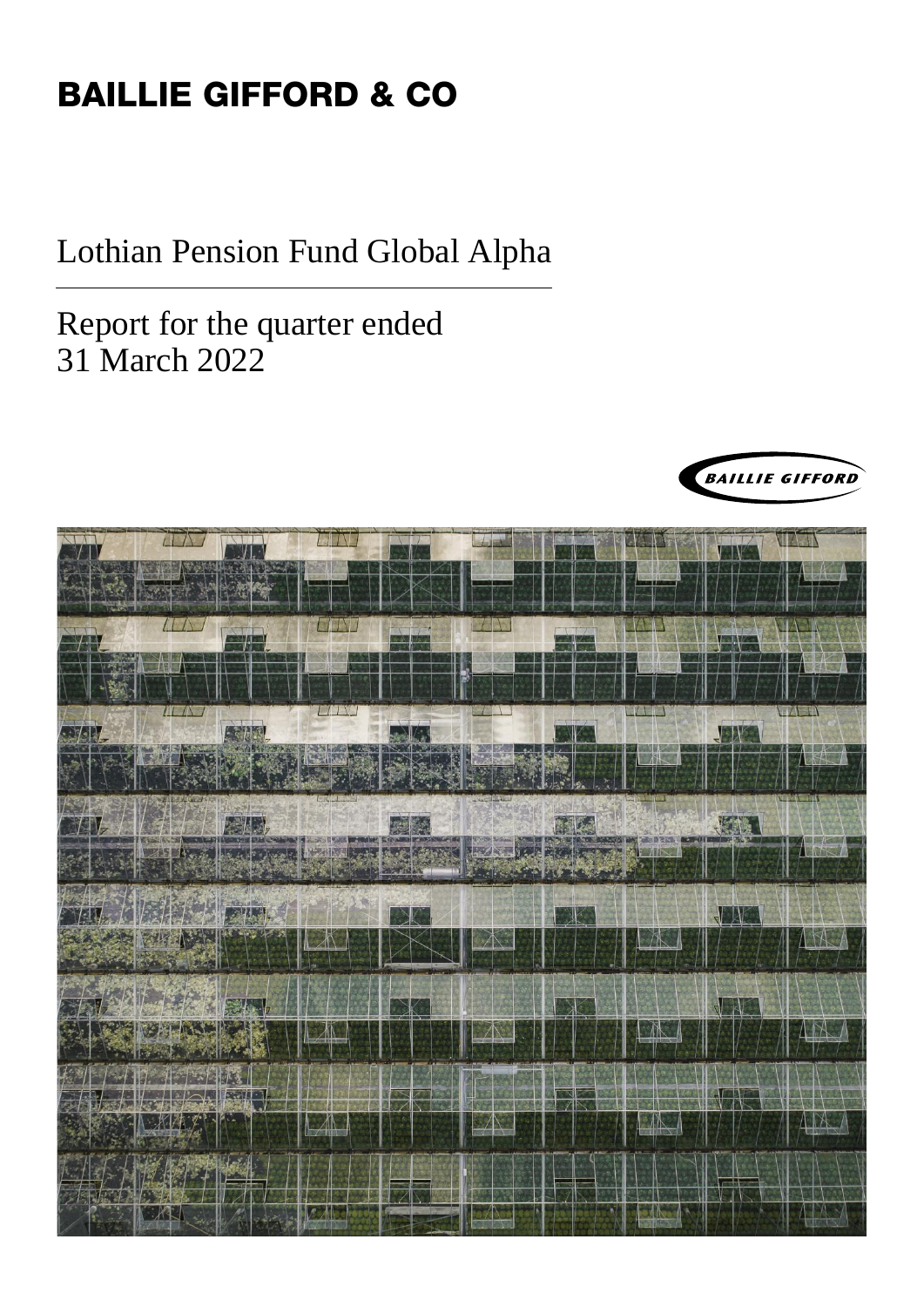# BAILLIE GIFFORD & CO

Lothian Pension Fund Global Alpha

Report for the quarter ended 31 March 2022



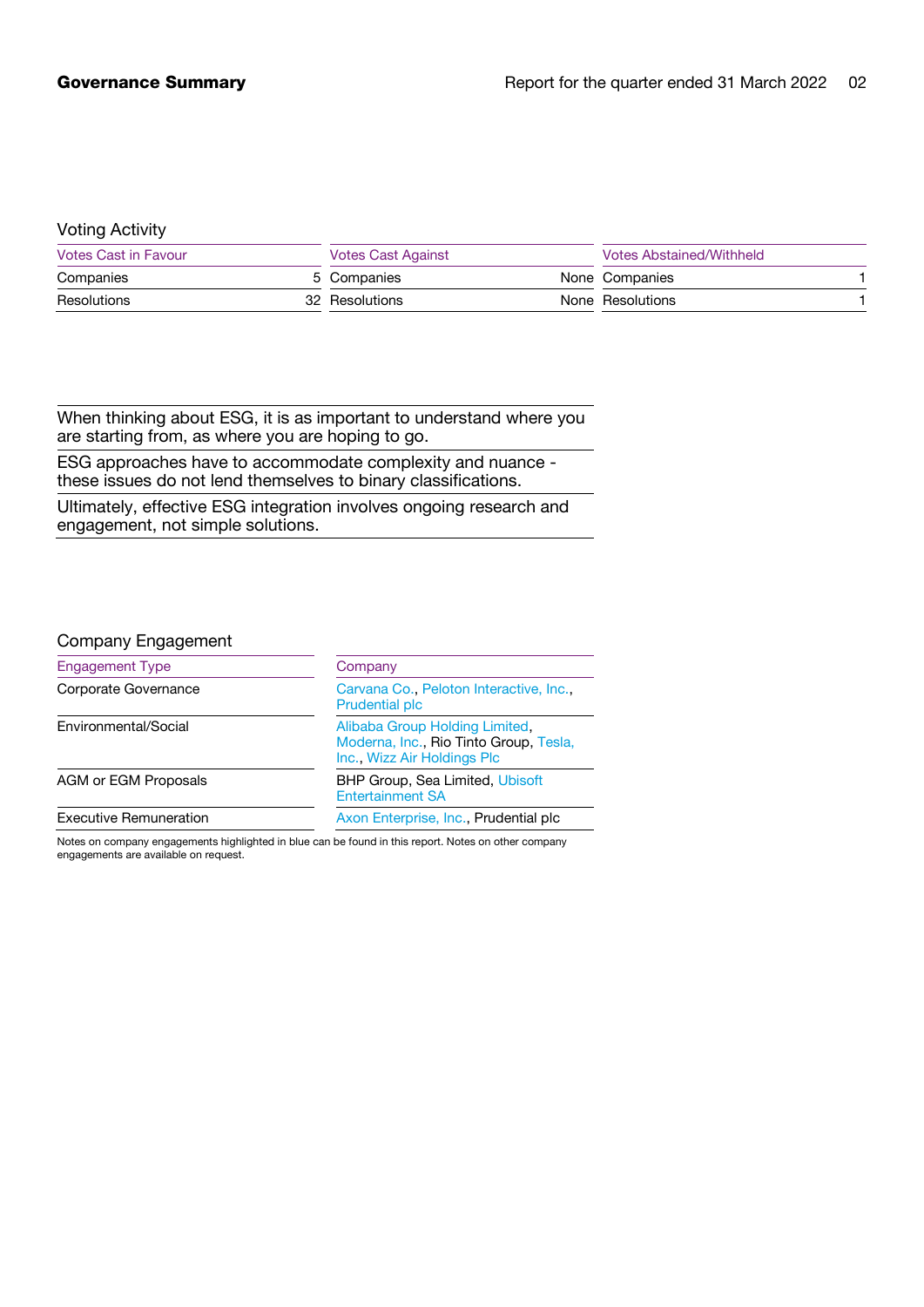### Voting Activity

| Votes Cast in Favour |  | <b>Votes Cast Against</b> |  | Votes Abstained/Withheld |  |
|----------------------|--|---------------------------|--|--------------------------|--|
| Companies            |  | 5 Companies               |  | None Companies           |  |
| Resolutions          |  | 32 Resolutions            |  | None Resolutions         |  |

When thinking about ESG, it is as important to understand where you are starting from, as where you are hoping to go.

ESG approaches have to accommodate complexity and nuance these issues do not lend themselves to binary classifications.

Ultimately, effective ESG integration involves ongoing research and engagement, not simple solutions.

#### Company Engagement

| <b>Engagement Type</b>        | Company<br>Carvana Co., Peloton Interactive, Inc.<br><b>Prudential plc</b><br>Alibaba Group Holding Limited.<br>Moderna, Inc., Rio Tinto Group, Tesla,<br>Inc., Wizz Air Holdings Plc. |  |
|-------------------------------|----------------------------------------------------------------------------------------------------------------------------------------------------------------------------------------|--|
| Corporate Governance          |                                                                                                                                                                                        |  |
| Environmental/Social          |                                                                                                                                                                                        |  |
| AGM or EGM Proposals          | <b>BHP Group, Sea Limited, Ubisoft</b><br><b>Entertainment SA</b>                                                                                                                      |  |
| <b>Executive Remuneration</b> | Axon Enterprise, Inc., Prudential plc.                                                                                                                                                 |  |

Notes on company engagements highlighted in blue can be found in this report. Notes on other company engagements are available on request.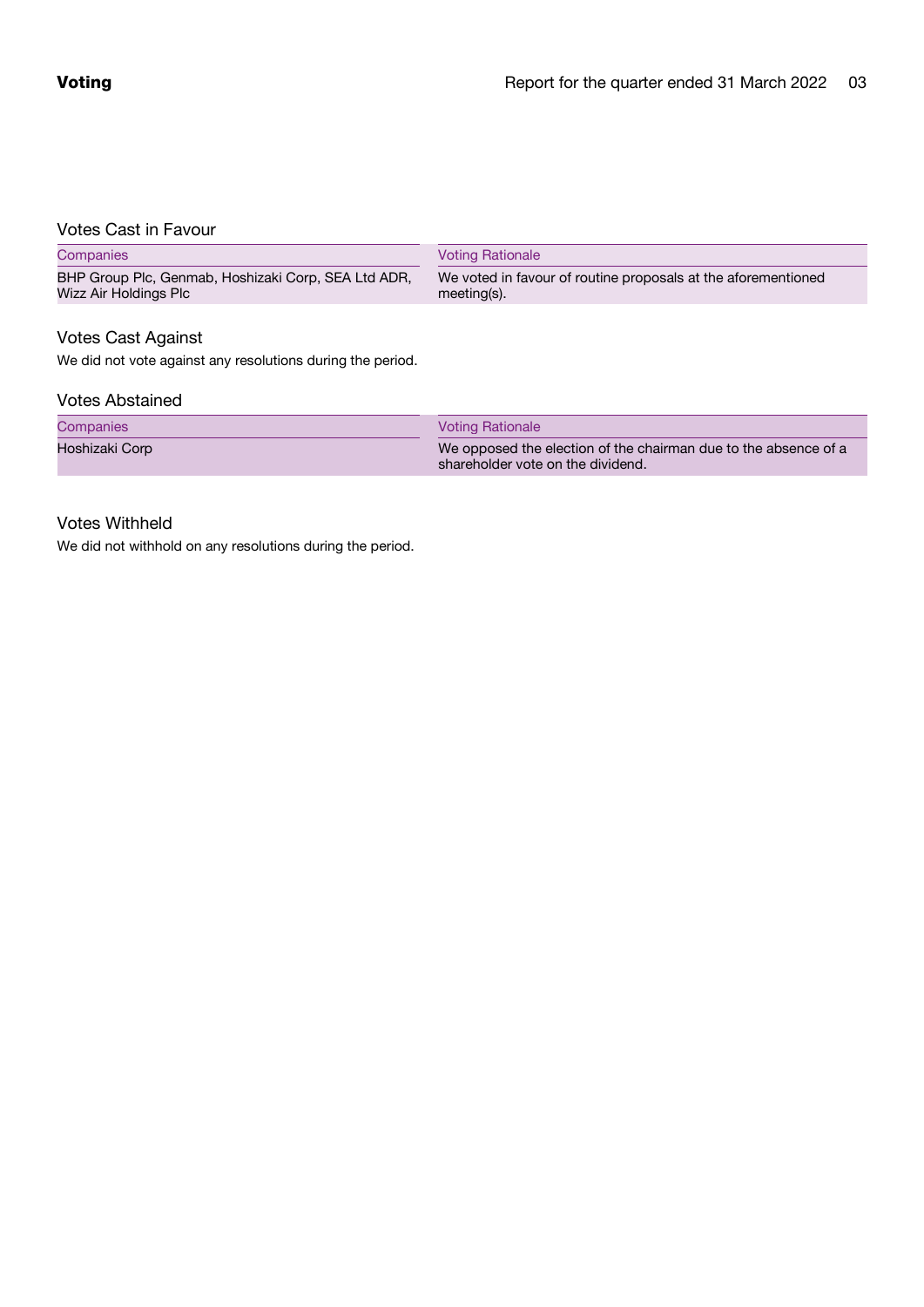# Votes Cast in Favour

| Companies                                                                    | <b>Voting Rationale</b>                                                         |  |
|------------------------------------------------------------------------------|---------------------------------------------------------------------------------|--|
| BHP Group Plc, Genmab, Hoshizaki Corp, SEA Ltd ADR,<br>Wizz Air Holdings Plc | We voted in favour of routine proposals at the aforementioned<br>$meeting(s)$ . |  |
| <b>Votes Cast Against</b>                                                    |                                                                                 |  |

We did not vote against any resolutions during the period.

#### Votes Abstained

#### Companies Voting Rationale

Hoshizaki Corp We opposed the election of the chairman due to the absence of a shareholder vote on the dividend.

## Votes Withheld

We did not withhold on any resolutions during the period.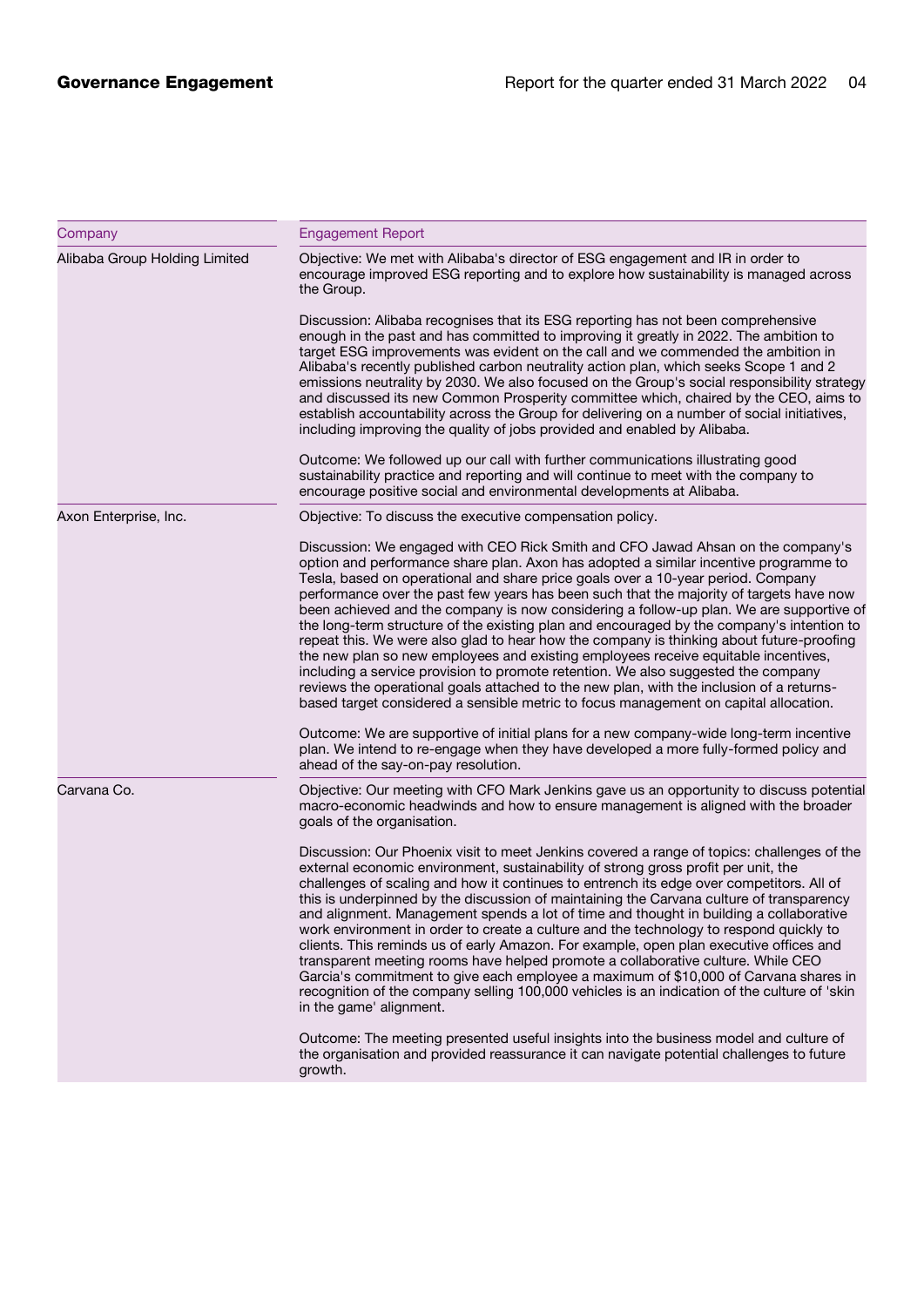| Company                       | <b>Engagement Report</b>                                                                                                                                                                                                                                                                                                                                                                                                                                                                                                                                                                                                                                                                                                                                                                                                                                                                                                                                      |
|-------------------------------|---------------------------------------------------------------------------------------------------------------------------------------------------------------------------------------------------------------------------------------------------------------------------------------------------------------------------------------------------------------------------------------------------------------------------------------------------------------------------------------------------------------------------------------------------------------------------------------------------------------------------------------------------------------------------------------------------------------------------------------------------------------------------------------------------------------------------------------------------------------------------------------------------------------------------------------------------------------|
| Alibaba Group Holding Limited | Objective: We met with Alibaba's director of ESG engagement and IR in order to<br>encourage improved ESG reporting and to explore how sustainability is managed across<br>the Group.                                                                                                                                                                                                                                                                                                                                                                                                                                                                                                                                                                                                                                                                                                                                                                          |
|                               | Discussion: Alibaba recognises that its ESG reporting has not been comprehensive<br>enough in the past and has committed to improving it greatly in 2022. The ambition to<br>target ESG improvements was evident on the call and we commended the ambition in<br>Alibaba's recently published carbon neutrality action plan, which seeks Scope 1 and 2<br>emissions neutrality by 2030. We also focused on the Group's social responsibility strategy<br>and discussed its new Common Prosperity committee which, chaired by the CEO, aims to<br>establish accountability across the Group for delivering on a number of social initiatives,<br>including improving the quality of jobs provided and enabled by Alibaba.                                                                                                                                                                                                                                      |
|                               | Outcome: We followed up our call with further communications illustrating good<br>sustainability practice and reporting and will continue to meet with the company to<br>encourage positive social and environmental developments at Alibaba.                                                                                                                                                                                                                                                                                                                                                                                                                                                                                                                                                                                                                                                                                                                 |
| Axon Enterprise, Inc.         | Objective: To discuss the executive compensation policy.                                                                                                                                                                                                                                                                                                                                                                                                                                                                                                                                                                                                                                                                                                                                                                                                                                                                                                      |
|                               | Discussion: We engaged with CEO Rick Smith and CFO Jawad Ahsan on the company's<br>option and performance share plan. Axon has adopted a similar incentive programme to<br>Tesla, based on operational and share price goals over a 10-year period. Company<br>performance over the past few years has been such that the majority of targets have now<br>been achieved and the company is now considering a follow-up plan. We are supportive of<br>the long-term structure of the existing plan and encouraged by the company's intention to                                                                                                                                                                                                                                                                                                                                                                                                                |
|                               | repeat this. We were also glad to hear how the company is thinking about future-proofing<br>the new plan so new employees and existing employees receive equitable incentives,<br>including a service provision to promote retention. We also suggested the company<br>reviews the operational goals attached to the new plan, with the inclusion of a returns-<br>based target considered a sensible metric to focus management on capital allocation.                                                                                                                                                                                                                                                                                                                                                                                                                                                                                                       |
|                               | Outcome: We are supportive of initial plans for a new company-wide long-term incentive<br>plan. We intend to re-engage when they have developed a more fully-formed policy and<br>ahead of the say-on-pay resolution.                                                                                                                                                                                                                                                                                                                                                                                                                                                                                                                                                                                                                                                                                                                                         |
| Carvana Co.                   | Objective: Our meeting with CFO Mark Jenkins gave us an opportunity to discuss potential<br>macro-economic headwinds and how to ensure management is aligned with the broader<br>goals of the organisation.                                                                                                                                                                                                                                                                                                                                                                                                                                                                                                                                                                                                                                                                                                                                                   |
|                               | Discussion: Our Phoenix visit to meet Jenkins covered a range of topics: challenges of the<br>external economic environment, sustainability of strong gross profit per unit, the<br>challenges of scaling and how it continues to entrench its edge over competitors. All of<br>this is underpinned by the discussion of maintaining the Carvana culture of transparency<br>and alignment. Management spends a lot of time and thought in building a collaborative<br>work environment in order to create a culture and the technology to respond quickly to<br>clients. This reminds us of early Amazon. For example, open plan executive offices and<br>transparent meeting rooms have helped promote a collaborative culture. While CEO<br>Garcia's commitment to give each employee a maximum of \$10,000 of Carvana shares in<br>recognition of the company selling 100,000 vehicles is an indication of the culture of 'skin<br>in the game' alignment. |
|                               | Outcome: The meeting presented useful insights into the business model and culture of<br>the organisation and provided reassurance it can navigate potential challenges to future<br>growth.                                                                                                                                                                                                                                                                                                                                                                                                                                                                                                                                                                                                                                                                                                                                                                  |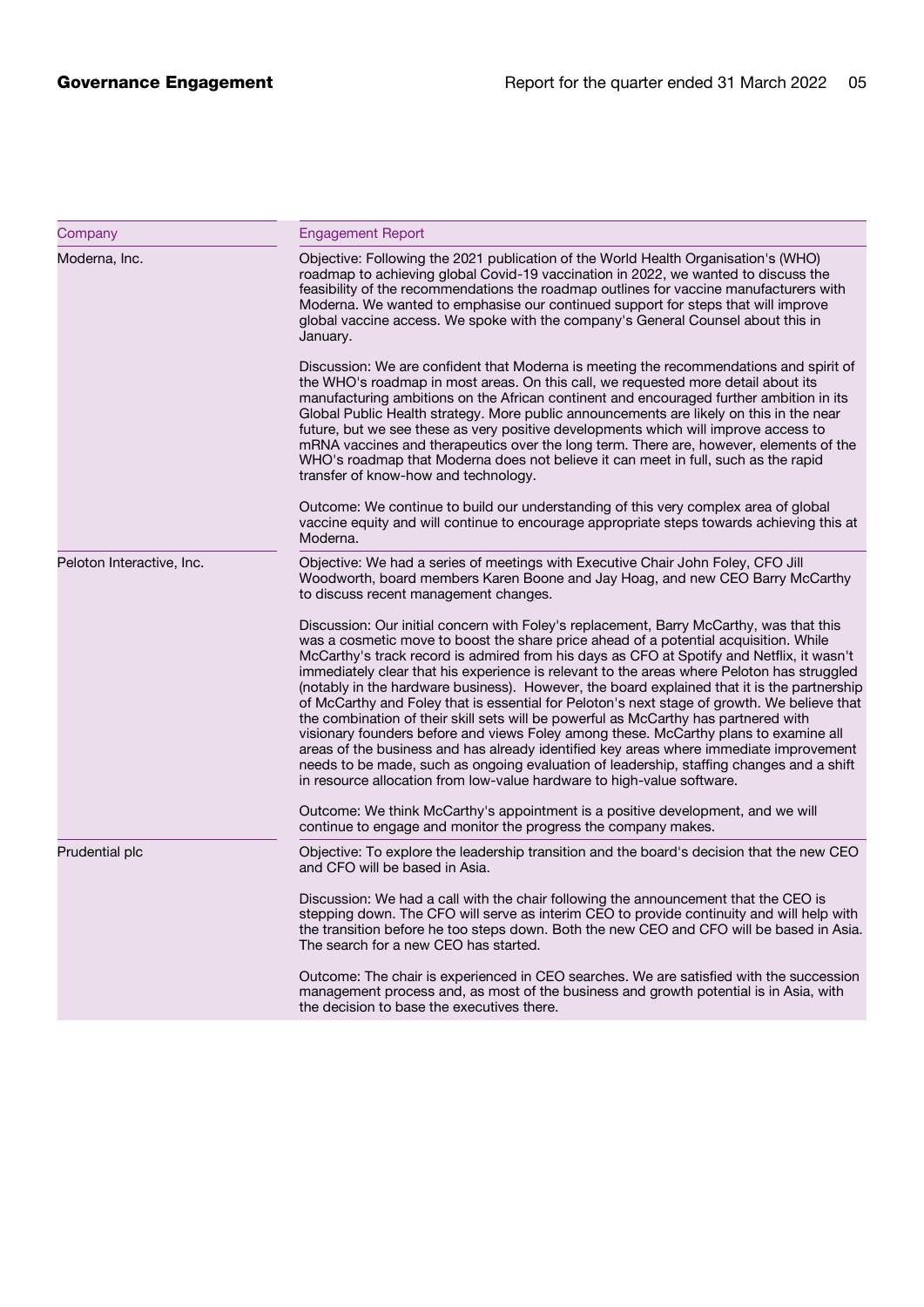| Company                   | <b>Engagement Report</b>                                                                                                                                                                                                                                                                                                                                                                                                                                                                                                                                                                                                                                                                                                                                                                                                                                                                                                                                                                                                |
|---------------------------|-------------------------------------------------------------------------------------------------------------------------------------------------------------------------------------------------------------------------------------------------------------------------------------------------------------------------------------------------------------------------------------------------------------------------------------------------------------------------------------------------------------------------------------------------------------------------------------------------------------------------------------------------------------------------------------------------------------------------------------------------------------------------------------------------------------------------------------------------------------------------------------------------------------------------------------------------------------------------------------------------------------------------|
| Moderna, Inc.             | Objective: Following the 2021 publication of the World Health Organisation's (WHO)<br>roadmap to achieving global Covid-19 vaccination in 2022, we wanted to discuss the<br>feasibility of the recommendations the roadmap outlines for vaccine manufacturers with<br>Moderna. We wanted to emphasise our continued support for steps that will improve<br>global vaccine access. We spoke with the company's General Counsel about this in<br>January.                                                                                                                                                                                                                                                                                                                                                                                                                                                                                                                                                                 |
|                           | Discussion: We are confident that Moderna is meeting the recommendations and spirit of<br>the WHO's roadmap in most areas. On this call, we requested more detail about its<br>manufacturing ambitions on the African continent and encouraged further ambition in its<br>Global Public Health strategy. More public announcements are likely on this in the near<br>future, but we see these as very positive developments which will improve access to<br>mRNA vaccines and therapeutics over the long term. There are, however, elements of the<br>WHO's roadmap that Moderna does not believe it can meet in full, such as the rapid<br>transfer of know-how and technology.                                                                                                                                                                                                                                                                                                                                        |
|                           | Outcome: We continue to build our understanding of this very complex area of global<br>vaccine equity and will continue to encourage appropriate steps towards achieving this at<br>Moderna.                                                                                                                                                                                                                                                                                                                                                                                                                                                                                                                                                                                                                                                                                                                                                                                                                            |
| Peloton Interactive, Inc. | Objective: We had a series of meetings with Executive Chair John Foley, CFO Jill<br>Woodworth, board members Karen Boone and Jay Hoag, and new CEO Barry McCarthy<br>to discuss recent management changes.                                                                                                                                                                                                                                                                                                                                                                                                                                                                                                                                                                                                                                                                                                                                                                                                              |
|                           | Discussion: Our initial concern with Foley's replacement, Barry McCarthy, was that this<br>was a cosmetic move to boost the share price ahead of a potential acquisition. While<br>McCarthy's track record is admired from his days as CFO at Spotify and Netflix, it wasn't<br>immediately clear that his experience is relevant to the areas where Peloton has struggled<br>(notably in the hardware business). However, the board explained that it is the partnership<br>of McCarthy and Foley that is essential for Peloton's next stage of growth. We believe that<br>the combination of their skill sets will be powerful as McCarthy has partnered with<br>visionary founders before and views Foley among these. McCarthy plans to examine all<br>areas of the business and has already identified key areas where immediate improvement<br>needs to be made, such as ongoing evaluation of leadership, staffing changes and a shift<br>in resource allocation from low-value hardware to high-value software. |
|                           | Outcome: We think McCarthy's appointment is a positive development, and we will<br>continue to engage and monitor the progress the company makes.                                                                                                                                                                                                                                                                                                                                                                                                                                                                                                                                                                                                                                                                                                                                                                                                                                                                       |
| Prudential plc            | Objective: To explore the leadership transition and the board's decision that the new CEO<br>and CFO will be based in Asia.                                                                                                                                                                                                                                                                                                                                                                                                                                                                                                                                                                                                                                                                                                                                                                                                                                                                                             |
|                           | Discussion: We had a call with the chair following the announcement that the CEO is<br>stepping down. The CFO will serve as interim CEO to provide continuity and will help with<br>the transition before he too steps down. Both the new CEO and CFO will be based in Asia.<br>The search for a new CEO has started.                                                                                                                                                                                                                                                                                                                                                                                                                                                                                                                                                                                                                                                                                                   |
|                           | Outcome: The chair is experienced in CEO searches. We are satisfied with the succession<br>management process and, as most of the business and growth potential is in Asia, with<br>the decision to base the executives there.                                                                                                                                                                                                                                                                                                                                                                                                                                                                                                                                                                                                                                                                                                                                                                                          |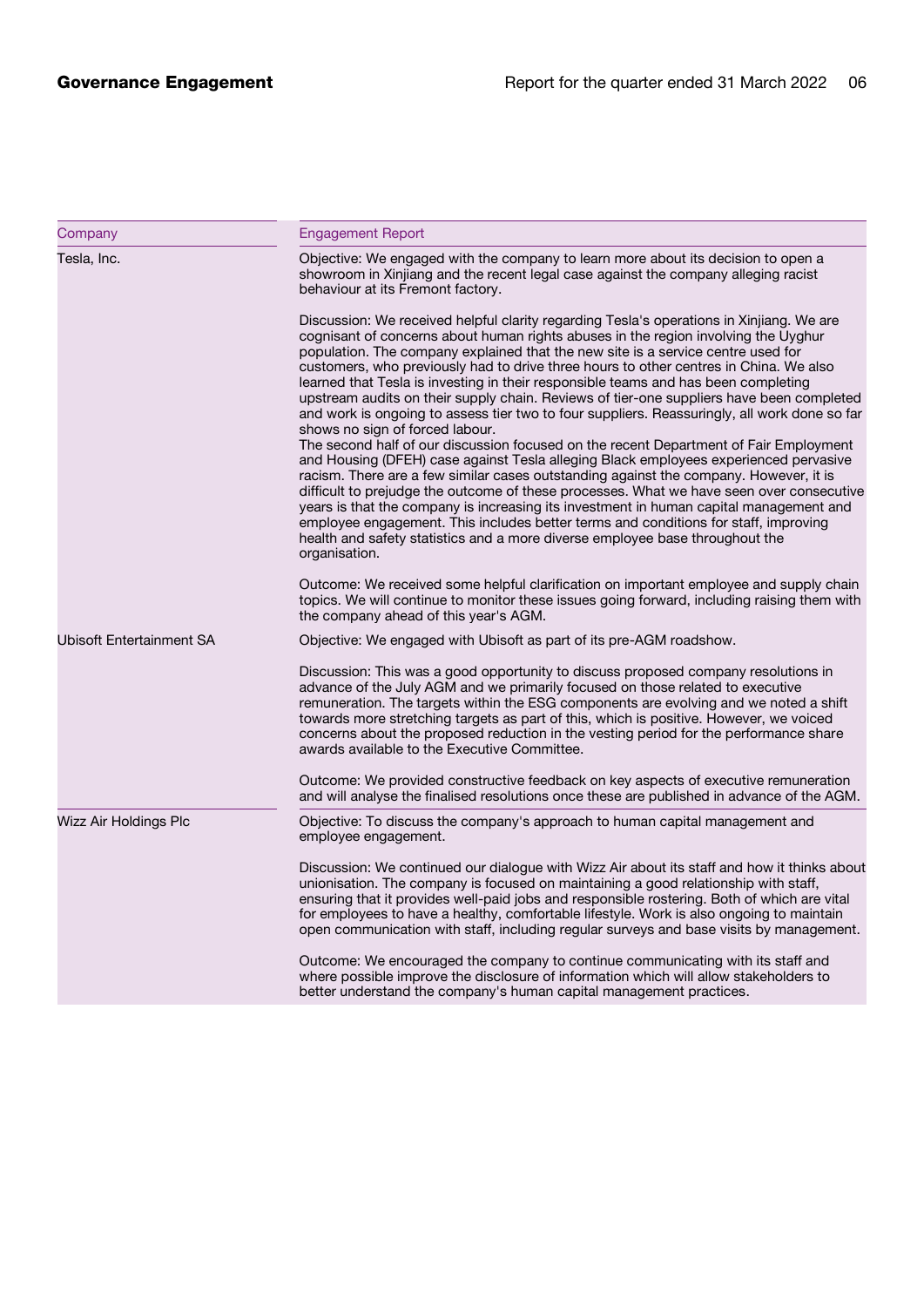| Company                  | <b>Engagement Report</b>                                                                                                                                                                                                                                                                                                                                                                                                                                                                                                                                                                                                                                                                                                                                                                                                                                                                                                                                                                                                                                                                                                                                                                                                                                                                                                                 |
|--------------------------|------------------------------------------------------------------------------------------------------------------------------------------------------------------------------------------------------------------------------------------------------------------------------------------------------------------------------------------------------------------------------------------------------------------------------------------------------------------------------------------------------------------------------------------------------------------------------------------------------------------------------------------------------------------------------------------------------------------------------------------------------------------------------------------------------------------------------------------------------------------------------------------------------------------------------------------------------------------------------------------------------------------------------------------------------------------------------------------------------------------------------------------------------------------------------------------------------------------------------------------------------------------------------------------------------------------------------------------|
| Tesla, Inc.              | Objective: We engaged with the company to learn more about its decision to open a<br>showroom in Xinjiang and the recent legal case against the company alleging racist<br>behaviour at its Fremont factory.                                                                                                                                                                                                                                                                                                                                                                                                                                                                                                                                                                                                                                                                                                                                                                                                                                                                                                                                                                                                                                                                                                                             |
|                          | Discussion: We received helpful clarity regarding Tesla's operations in Xinjiang. We are<br>cognisant of concerns about human rights abuses in the region involving the Uyghur<br>population. The company explained that the new site is a service centre used for<br>customers, who previously had to drive three hours to other centres in China. We also<br>learned that Tesla is investing in their responsible teams and has been completing<br>upstream audits on their supply chain. Reviews of tier-one suppliers have been completed<br>and work is ongoing to assess tier two to four suppliers. Reassuringly, all work done so far<br>shows no sign of forced labour.<br>The second half of our discussion focused on the recent Department of Fair Employment<br>and Housing (DFEH) case against Tesla alleging Black employees experienced pervasive<br>racism. There are a few similar cases outstanding against the company. However, it is<br>difficult to prejudge the outcome of these processes. What we have seen over consecutive<br>years is that the company is increasing its investment in human capital management and<br>employee engagement. This includes better terms and conditions for staff, improving<br>health and safety statistics and a more diverse employee base throughout the<br>organisation. |
|                          | Outcome: We received some helpful clarification on important employee and supply chain<br>topics. We will continue to monitor these issues going forward, including raising them with<br>the company ahead of this year's AGM.                                                                                                                                                                                                                                                                                                                                                                                                                                                                                                                                                                                                                                                                                                                                                                                                                                                                                                                                                                                                                                                                                                           |
| Ubisoft Entertainment SA | Objective: We engaged with Ubisoft as part of its pre-AGM roadshow.                                                                                                                                                                                                                                                                                                                                                                                                                                                                                                                                                                                                                                                                                                                                                                                                                                                                                                                                                                                                                                                                                                                                                                                                                                                                      |
|                          | Discussion: This was a good opportunity to discuss proposed company resolutions in<br>advance of the July AGM and we primarily focused on those related to executive<br>remuneration. The targets within the ESG components are evolving and we noted a shift<br>towards more stretching targets as part of this, which is positive. However, we voiced<br>concerns about the proposed reduction in the vesting period for the performance share<br>awards available to the Executive Committee.                                                                                                                                                                                                                                                                                                                                                                                                                                                                                                                                                                                                                                                                                                                                                                                                                                         |
|                          | Outcome: We provided constructive feedback on key aspects of executive remuneration<br>and will analyse the finalised resolutions once these are published in advance of the AGM.                                                                                                                                                                                                                                                                                                                                                                                                                                                                                                                                                                                                                                                                                                                                                                                                                                                                                                                                                                                                                                                                                                                                                        |
| Wizz Air Holdings Plc    | Objective: To discuss the company's approach to human capital management and<br>employee engagement.                                                                                                                                                                                                                                                                                                                                                                                                                                                                                                                                                                                                                                                                                                                                                                                                                                                                                                                                                                                                                                                                                                                                                                                                                                     |
|                          | Discussion: We continued our dialogue with Wizz Air about its staff and how it thinks about<br>unionisation. The company is focused on maintaining a good relationship with staff,<br>ensuring that it provides well-paid jobs and responsible rostering. Both of which are vital<br>for employees to have a healthy, comfortable lifestyle. Work is also ongoing to maintain<br>open communication with staff, including regular surveys and base visits by management.                                                                                                                                                                                                                                                                                                                                                                                                                                                                                                                                                                                                                                                                                                                                                                                                                                                                 |
|                          | Outcome: We encouraged the company to continue communicating with its staff and<br>where possible improve the disclosure of information which will allow stakeholders to<br>better understand the company's human capital management practices.                                                                                                                                                                                                                                                                                                                                                                                                                                                                                                                                                                                                                                                                                                                                                                                                                                                                                                                                                                                                                                                                                          |